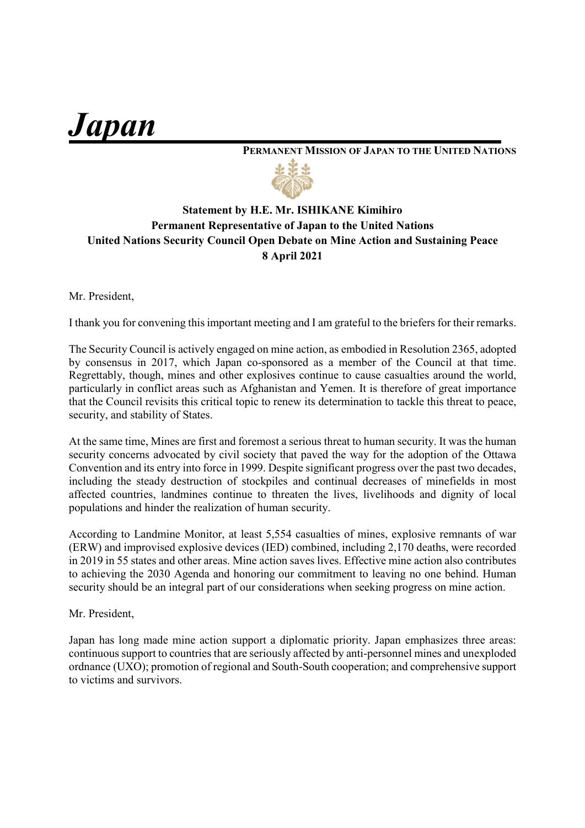*Japan\_\_\_\_\_\_\_\_\_\_\_\_\_\_\_\_\_\_\_\_*

## **PERMANENT MISSION OF JAPAN TO THE UNITED NATIONS**



## **Statement by H.E. Mr. ISHIKANE Kimihiro Permanent Representative of Japan to the United Nations United Nations Security Council Open Debate on Mine Action and Sustaining Peace 8 April 2021**

Mr. President,

I thank you for convening this important meeting and I am grateful to the briefers for their remarks.

The Security Council is actively engaged on mine action, as embodied in Resolution 2365, adopted by consensus in 2017, which Japan co-sponsored as a member of the Council at that time. Regrettably, though, mines and other explosives continue to cause casualties around the world, particularly in conflict areas such as Afghanistan and Yemen. It is therefore of great importance that the Council revisits this critical topic to renew its determination to tackle this threat to peace, security, and stability of States.

At the same time, Mines are first and foremost a serious threat to human security. It was the human security concerns advocated by civil society that paved the way for the adoption of the Ottawa Convention and its entry into force in 1999. Despite significant progress over the past two decades, including the steady destruction of stockpiles and continual decreases of minefields in most affected countries, landmines continue to threaten the lives, livelihoods and dignity of local populations and hinder the realization of human security.

According to Landmine Monitor, at least 5,554 casualties of mines, explosive remnants of war (ERW) and improvised explosive devices (IED) combined, including 2,170 deaths, were recorded in 2019 in 55 states and other areas. Mine action saves lives. Effective mine action also contributes to achieving the 2030 Agenda and honoring our commitment to leaving no one behind. Human security should be an integral part of our considerations when seeking progress on mine action.

Mr. President,

Japan has long made mine action support a diplomatic priority. Japan emphasizes three areas: continuous support to countries that are seriously affected by anti-personnel mines and unexploded ordnance (UXO); promotion of regional and South-South cooperation; and comprehensive support to victims and survivors.